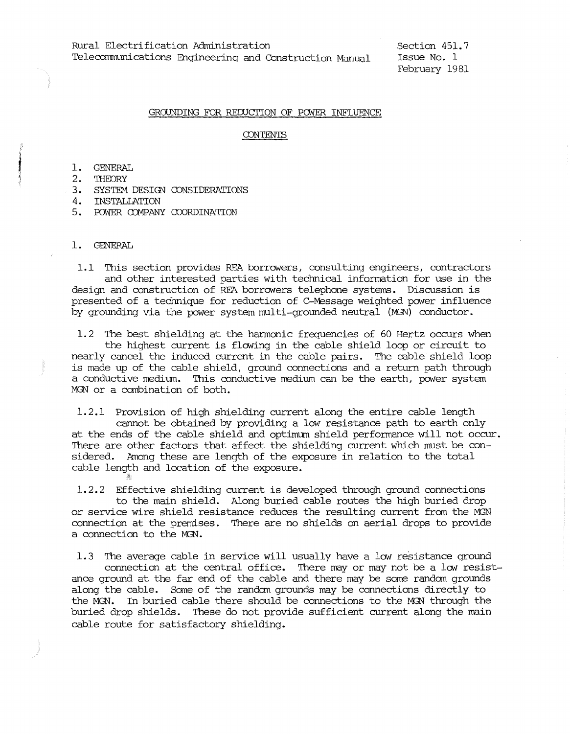# GROUNDING FOR REDUCTION OF POWER INFLUENCE

## **CONTENTS**

#### 1. GENERAL

- 2. 'IHEORY
- 3. SYSTEM DESIGN CONSIDERATIONS

4. INSTALLATION

*I;* 

5. POWER COMPANY COORDINATION

#### 1. GENERAL

1.1 This section provides RFA borrowers, consulting engineers, contractors and other interested parties with technical infonnation for use in the design and construction of REA borrowers telephone systems. Discussion is presented of a technique for reduction of C-Message weighted power influence by grounding via the power system multi-grounded neutral (MGN) conductor.

1.2 The best shielding at the harmonic frequencies of 60 Hertz occurs when the highest current is flowing in the cable shield loop or circuit to nearly cancel the induced current in the cable pairs. The cable shield loop is made up of the cable shield, ground connections and a return path through a conductive medium. This conductive medium can be the earth, power system MGN or a canbination of both.

1.2.1 Provision of high shielding current along the entire cable length cannot be obtained by providing a low resistance path to earth only at the ends of the cable shield and optimum shield performance will not occur. There are other factors that affect the shielding current which must be considered. Among these are length of the exposure in relation to the total cable length and location of the exposure.

1.2.2 Effective shielding current is developed through ground connections to the main shield. Along buried cable routes the high buried drop or service wire shield resistance reduces the resulting current from the MGN connection at the premises. There are no shields on aerial drops to provide a connection to the MGN.

1.3 The average cable in service will usually have a low resistance ground connection at the central office. There may or may not be a low resistance ground at the far end of the cable and there may be some randan grounds along the cable. Some of the randan grounds may be connections directly to the MGN. In buried cable there should be connections to the MGN through the buried drop shields. These do not provide sufficient current along the main cable route for satisfactory shielding.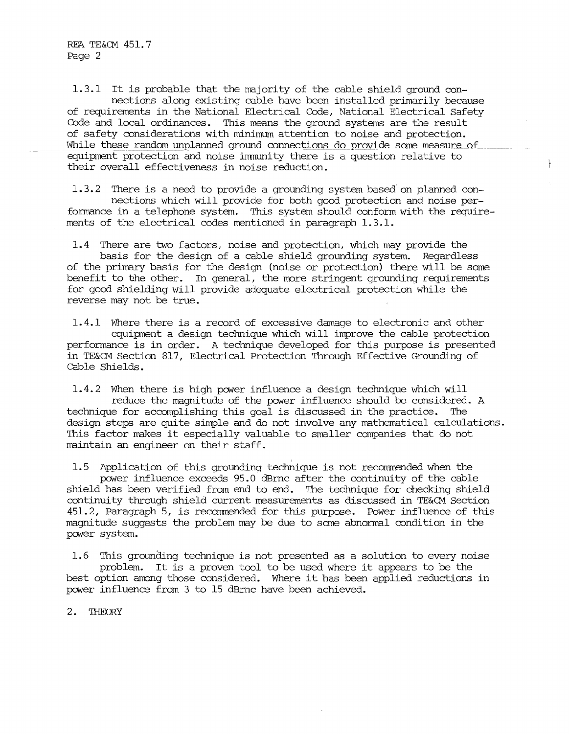1.3.1 It is probable that the majority of the cable shield ground connections along existing cable have been installed primarily because of requirements in the National Electrical Code, National Electrical Safety Code and local ordinances. This means the ground systems are the result of safety considerations with minimum attention to noise and protection. While these random unplanned ground connections do provide some measure of equipment protection and noise immunity there is a question relative to their overall effectiveness in noise reduction.

1.3.2 There is a need to provide a grounding system based on planned connections which will provide for both good protection and noise performance in a telephone system. This system should conform with the requirements of the electrical codes mentioned in paragraph 1.3.1.

ţ.

1.4 There are two factors, noise and protection, which may provide the basis for the design of a cable shield grounding system. Regardless of the primary basis for the design (noise or protection) there will be some benefit to the other. In general, the more stringent grounding requirements for good shielding will provide adequate electrical protection while the reverse may not be true.

1.4.1 Where there is a record of excessive damage to electronic and other equipment a design technique which will improve the cable protection performance is in order. A technique developed for this purpose is presented in TE&CM Section 817, Electrical Protection Through Effective Grounding of Cable Shields.

1.4.2 When there is high pcwer influence a design technique which will reduce the magnitude of the pcwer influence should be considered. A technique for accomplishing this goal is discussed in the practice. The design steps are quite simple and do not involve any mathematical calculations. This factor wakes it especially valuable to smaller companies that do not maintain an engineer on their staff.

I 1.5 Application of this grounding technique is not recommended when the pcwer influence exceeds 95.0 dBrnc after the continuity of the cable shield has been verified from end to end. The technique for checking shield continuity through shield current measurements as discussed in TE&CM Section 451.2, Paragraph 5, is recomnended for this purpose. Power influence of this magnitude suggests the problem may be due to sane abnormal condition in the pcwer system.

1.6 This grounding technique is not presented as a solution to every noise problem. It is a proven tool to be used where it appears to be the best option among those considered. Where it has been applied reductions in pcwer influence from 3 to 15 dBrnc have been achieved.

2. THEORY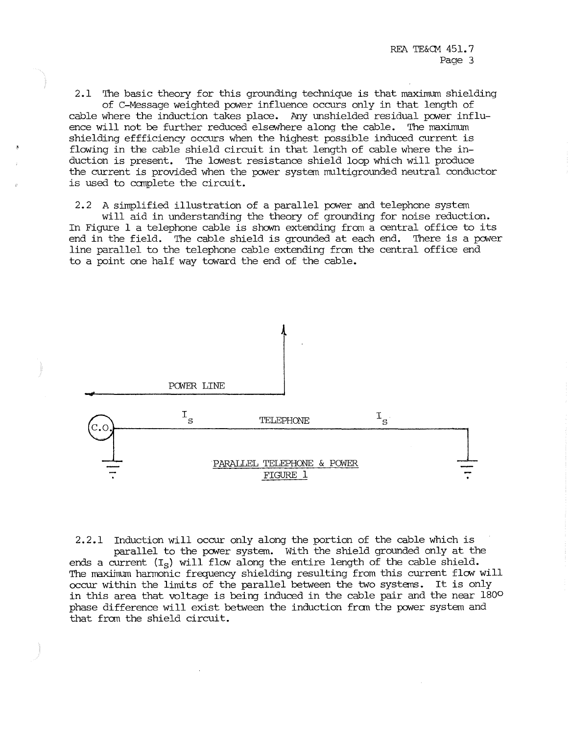REA TE&CM 451. 7 Page 3

2.1 The basic theory for this grounding technique is that maximum shielding of C-Message weighted power influence occurs only in that length of cable where the induction takes place. Any unshielded residual power influence will not be further reduced elsewhere along the cable. The maximum shielding effficiency occurs when the highest possible induced current is flowing in the cable shield circuit in that length of cable where the induction is present. The lowest resistance shield loop which will produce the current is provided when the power system multigrounded neutral conductor is used to canplete the circuit.

2.2 A simplified illustration of a parallel power and telephone system

will aid in understanding the theory of grounding for noise reduction. In Figure 1 a telephone cable is shown extending from a central office to its end in the field. The cable shield is grounded at each end. There is a power line parallel to the telephone cable extending frcm the central office end to a point one half way toward the end of the cable.



2.2.1 Induction will occur only along the portion of the cable which is parallel to the power system. With the shield grounded only at the ends a current  $(I_S)$  will flow along the entire length of the cable shield. The maximum harmonic frequency shielding resulting from this current flow will occur within the limits of the parallel between the two systans. It is only in this area that voltage is being induced in the cable pair and the near 180° phase difference will exist between the induction from the power system and that from the shield circuit.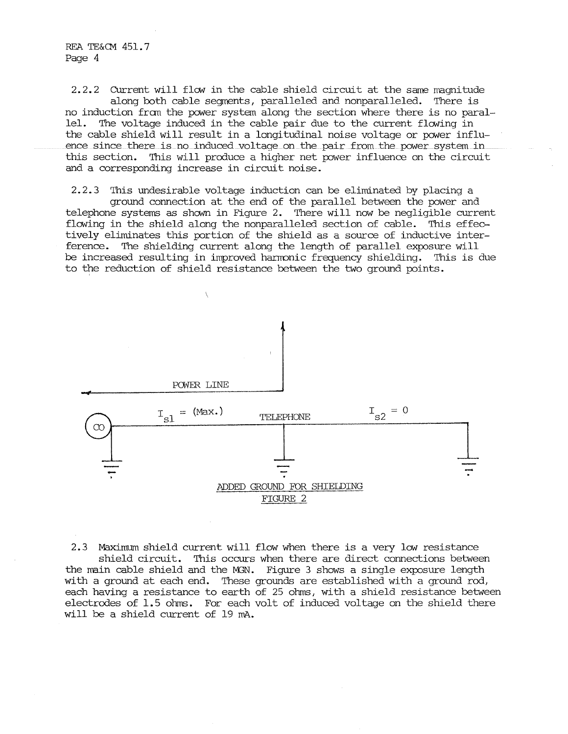2.2.2 Current will flow in the cable shield circuit at the same magnitude along both cable segments, paralleled and nonparalleled. There is no induction fran the power system along the section where there is no parallel. The voltage induced in the cable pair due to the current flowing in the cable shield will result in a longitudinal noise voltage or power influence since there is no induced voltage on the pair from the power system in this section. This will produce a higher net power influence on the circuit

and a corresponding increase in circuit noise.

2.2.3 This undesirable voltage induction can be eliminated by placing a ground connection at the end of the parallel between the power and telephone systems as shown in Figure 2. There will now be negligible current flowing in the shield along the nonparalleled section of cable. This effectively eliminates this portion of the shield as a source of inductive interference. The shielding current along the length of parallel exposure will be increased resulting in improved hanronic frequency shielding. This is due to the reduction of shield resistance between the two ground points.



2.3 Maximum shield current will flow when there is a very low resistance shield circuit. This occurs when there are direct connections between the main cable shield and the MSN. Figure 3 shows a single exposure length with a ground at each end. These grounds are established with a ground rod, each having a resistance to earth of 25 ohms, with a shield resistance between electrodes of 1.5 ohms. For each volt of induced voltage on the shield there will be a shield current of 19 mA.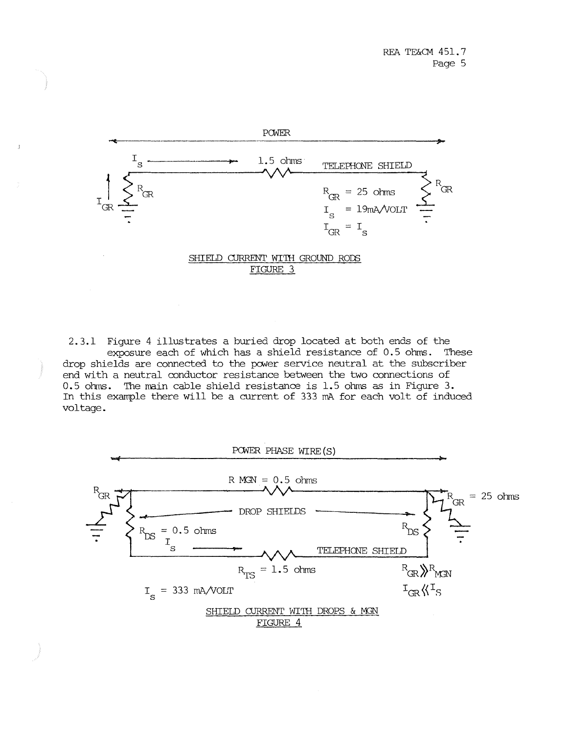

FIGURE 3

2.3.1 Figure 4 illustrates a buried drop located at both ends of the exposure each of which has a shield resistance of 0.5 ohms. These drop shields are connected to the power service neutral at the subscriber end with a neutral conductor resistance between the two connections of 0.5 ohms. The main cable shield resistance is 1.5 ohms as in Figure 3. In this example there will be a current of 333 mA for each volt of induced voltage.

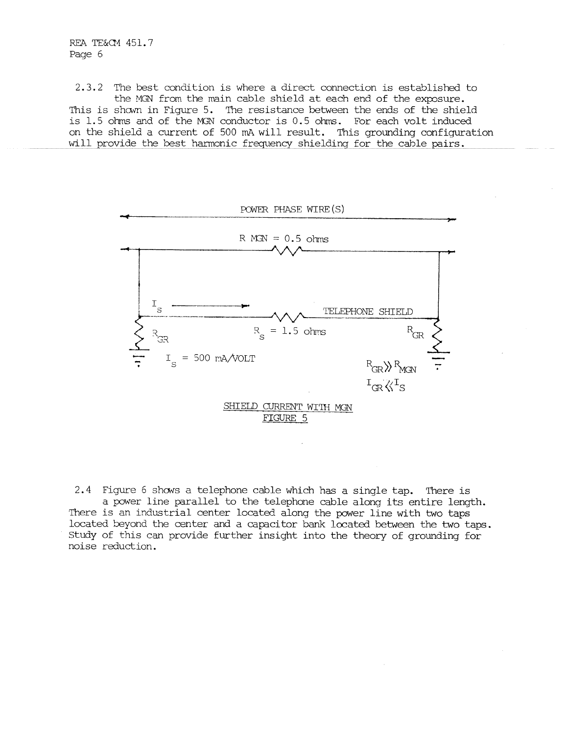REA TE&Q1 451. 7 Page 6

2.3.2 The best condition is where a direct connection is established to the MGN from the main cable shield at each end of the exposure. This is shown in Figure 5. The resistance between the ends of the shield is  $1.5$  ohms and of the MGN conductor is  $0.5$  ohms. For each volt induced on the shield a current of 500 mA will result. This grounding configuration will provide the best harmonic frequency shielding for the cable pairs.



2.4 Figure 6 shows a telephone cable which has a single tap. There is a power line parallel to the telephone cable along its entire length. There is an industrial center located along the power line with two taps located beyond the center and a capacitor bank located between the two taps. Study of this can provide further insight into the theory of grounding for noise reduction.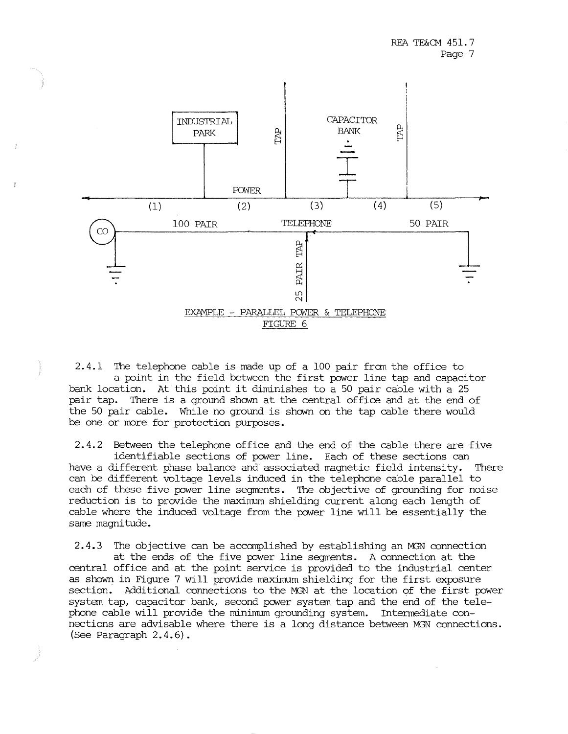

 $2.4.1$  The telephone cable is made up of a 100 pair from the office to a point in the field between the first power line tap and capacitor bank location. At this point it diminishes to a 50 pair cable with a 25 pair tap. There is a ground shown at the central office and at the end of the 50 pair cable. While no ground is shown on the tap cable there would be one or more for protection purposes.

2.4.2 Between the telephone office and the end of the cable there are five identifiable sections of power line. Each of these sections can have a different phase balance and associated magnetic field intensity. There can be different voltage levels induced in the telephone cable parallel to each of these five power line segments. The objective of grounding for noise reduction is to provide the maximum shielding current along each length of cable where the induced voltage from the power line will be essentially the same magnitude.

2.4.3 The objective can be accomplished by establishing an M8N connection at the ends of the five power line segments. A connection at the central office and at the point service is provided to the industrial center as shown in Figure 7 will provide maximum shielding for the first exposure section: Additional connections to the MGN at the location of the first power system tap, capacitor bank, second power system tap and the end of the telephone cable will provide the minimum grounding system. Intermediate connections are advisable where there is a long distance between MGN connections. (See Paragraph 2.4.6).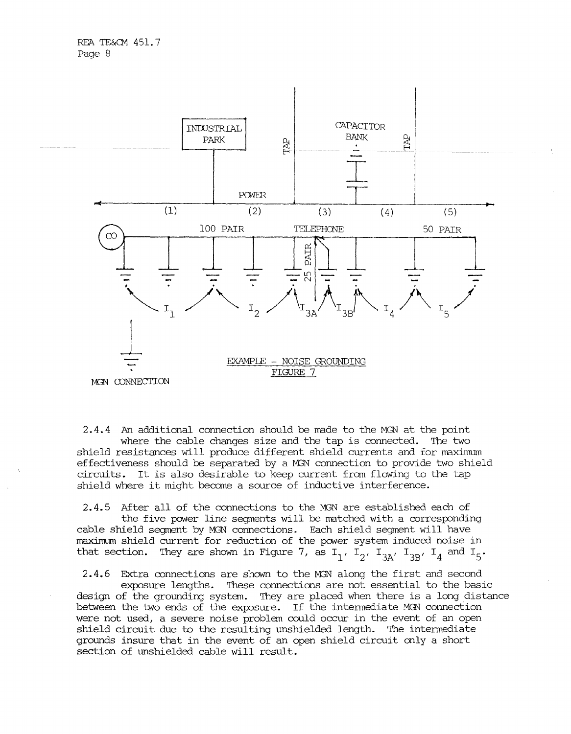

2.4.4 An additional connection should be made to the MGN at the point where the cable changes size and the tap is connected. The two shield resistances will produce different shield currents and for maximum effectiveness should be separated by a M3N connection to provide two shield circuits. It is also desirable to keep current from flowing to the tap shield where it might becane a source of inductive interference.

2.4.5 After all of the connections to the M3N are established each of the five power line segments will be matched with a corresponding cable shield segment by MGN connections. Each shield segment will have maximum shield current for reduction of the power system induced noise in that section. They are shown in Figure 7, as  $I_1$ ,  $I_2$ ,  $I_{3A}$ ,  $I_{3B}$ ,  $I_4$  and  $I_5$ .

2.4.6 Extra connections are shown to the M3N along the first and second exposure lengths. These connections are not essential to the basic design of the grounding system. They are placed when there is a long distance between the two ends of the exposure. If the intennediate MGN connection were not used, a severe noise problan could occur in the event of an open shield circuit due to the resulting unshielded length. The intermediate grounds insure that in the event of an open shield circuit only a short section of unshielded cable will result.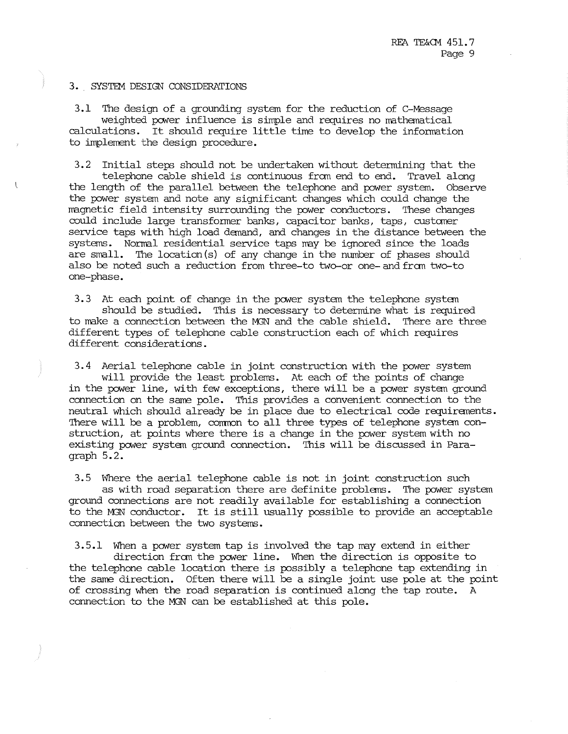#### 3. SYSTEM DESIGN CONSIDERATIONS

3.1 The design of a grounding system for the reduction of C-Message weighted power influence is simple and requires no mathematical calculations. It should require little time to develop the information to implement the design procedure.

3.2 Initial steps should not be undertaken without determining that the telephone cable shield is continuous fran end to end. Travel along the length of the parallel between the telephone and power system. Observe the power system and note any significant changes which could change the magnetic field intensity surrounding the power conductors. These changes could include large transformer banks, capacitor banks, taps, customer service taps with high load demand, and changes in the distance between the systems. Normal residential service taps may be ignored since the loads are small. The location (s) of any change in the number of phases should also be noted such a reduction from three-to two-or one- and fran two-to one-phase.

3.3 At each point of change in the power system the telephone system should be studied. This is necessary to determine what is required to make a connection between the MGN and the cable shield. There are three different types of telephone cable construction each of which requires different considerations.

3.4 Aerial telephone cable in joint construction with the power system will provide the least problems. At each of the points of change in the power line, with few exceptions, there will be a power systan ground connection on the same pole. This provides a convenient connection to the neutral which should already be in place due to electrical code requiranents. There will be a problem, common to all three types of telephone system construction, at points where there is a change in the power system with no existing power systan ground connection. This will be discussed in Paragraph 5.2.

3.5 Where the aerial telephone cable is not in joint construction such as with road separation there are definite problems. The power system ground connections are not readily available for establishing a connection to the M3N conductor. It is still usually possible to provide an acceptable connection between the two systems.

3.5.1 When a power system tap is involved the tap may extend in either direction fran the power line. When the direction is opposite to the telephone cable location there is possibly a telephone tap extending in the same direction. Often there will be a single joint use pole at the point of crossing when the road separation is continued along the tap route. A connection to the MGN can be established at this pole.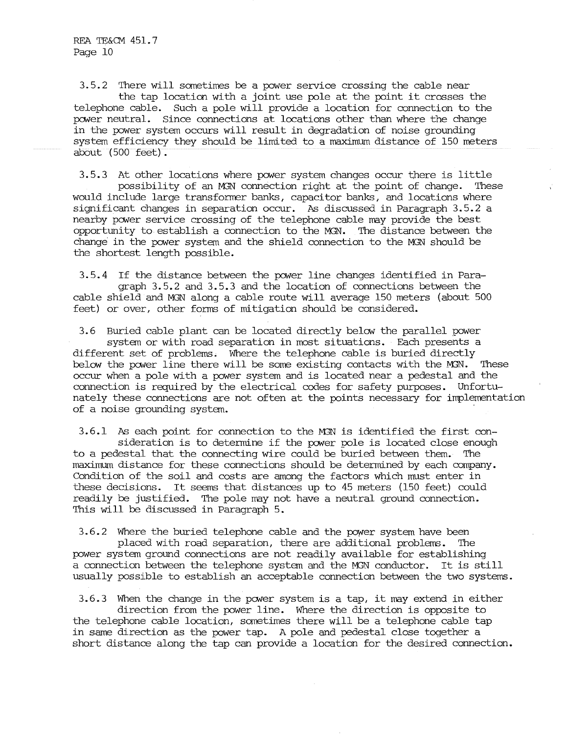3.5.2 There will sometimes be a power service crossing the cable near the tap location with a joint use pole at the point it crosses the telephone cable. Such a pole will provide a location for connection to the power neutral. Since connections at locations other than where the change in the power system occurs will result in degradation of noise grounding system efficiency they should be limited to a maximum distance of 150 meters about (500 feet).

3.5.3 At other locations where power system changes occur there is little possibility of an M3N connection right at the point of change. These would include large transformer banks, capacitor banks, and locations where significant changes in separation occur. As discussed in Paragraph 3.5.2 a nearby power service crossing of the telephone cable may provide the best opportunity to establish a connection to the MGN. The distance between the change in the power system and the shield connection to the MGN should be the shortest length possible.

3.5.4 If the distance between the pcwer line changes identified in Paragraph 3. 5. 2 and 3. 5. 3 and the location of connections between the cable shield and MiN along a cable route will average 150 meters (about 500 feet) or over, other forms of mitigation should be considered.

3.6 Buried cable plant can be located directly below the parallel power system or with road separation in most situations. Each presents a different set of problems. Where the telephone cable is buried directly below the power line there will be some existing contacts with the MGN. These occur when a pole with a power system and is located near a pedestal and the connection is required by the electrical codes for safety purposes. Unfortunately these connections are not often at the points necessary for implementation of a noise grounding system.

3.6.1 As each point for connection to the MSN is identified the first consideration is to determine if the power pole is located close enough to a pedestal that the connecting wire could be buried between them. The maximum distance for these connections should be determined by each company. Condition of the soil and costs are among the factors which must enter in these decisions. It seems that distances up to 45 meters (150 feet) could readily be justified. The pole may not have a neutral ground connection. This will be discussed in Paragraph 5.

 $3.6.2$  Where the buried telephone cable and the power system have been placed with road separation, there are additional problems. 'Ihe power system ground connections are not readily available for establishing a connection between the telephone system and the M3N conductor. It is still usually possible to establish an acceptable connection between the two systems.

3.6.3 When the change in the power system is a tap, it may extend in either direction from the power line. Where the direction is opposite to the telephone cable location, sometimes there will be a telephone cable tap in same direction as the power tap. A pole and pedestal close together a short distance along the tap can provide a location for the desired connection.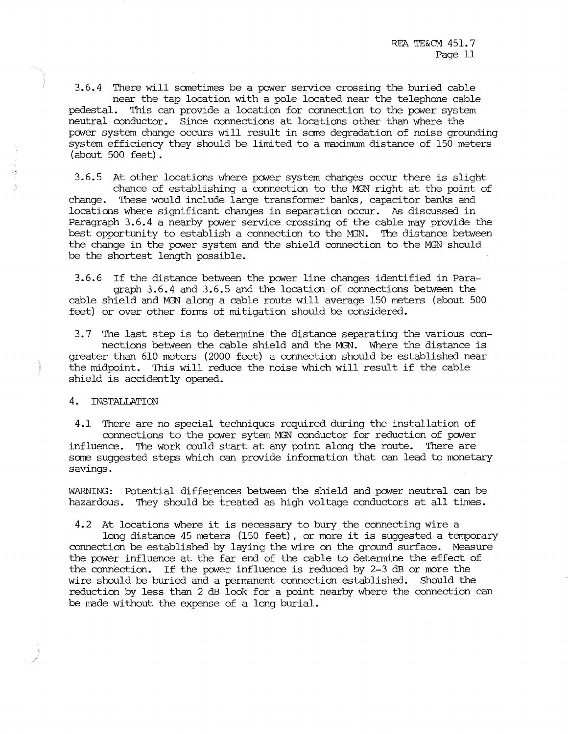3.6.4 There will sometimes be a power service crossing the buried cable near the tap location with a pole located near the telephone cable pedestal. This can provide a location for connection to the pcwer system neutral conductor. Since connections at locations other than where the pcwer system change occurs will result in sane degradation of noise grounding system efficiency they should be limited to a maximum distance of 150 meters (about 500 feet).

3.6.5 At other locations where pcwer system changes occur there is slight chance of establishing a connection to the MGN right at the point of change. These would include large transformer banks, capacitor banks and locaticns where significant changes in separation occur. As discussed in Paragraph 3.6.4 a nearby power service crossing of the cable nay provide the best opportunity to establish a connection to the M3N. The distance between the change in the pcwer system and the shield connection to the MGN should be the shortest length possible.

3.6.6 If the distance between the pcwer line changes identified in Paragraph 3.6.4 and 3.6.5 and the location of connections between the cable shield and M3N' along a cable route will average 150 meters (about 500 feet) or over other forms of mitigation should be considered.

3.7 The last step is to determine the distance separating the various connections between the cable shield and the MGN. Where the distance is greater than 610 meters (2000 feet) a connection should be established near the midpoint. This will reduce the noise which will result if the cable shield is accidently opened.

# 4. INSTALLATICN

4.1 There are no special techniques required during the installation of connections to the power sytem MGN conductor for reduction of power influence. The work could start at any point along the route. There are sane suggested steps which can provide infornation that can lead to monetary savings.

WARNING: Potential differences between the shield and pcwer neutral can be hazardous. They should be treated as high voltage conductors at all times.

4.2 At locations where it is necessary to bury the connecting wire a

long distance 45 meters (150 feet), or more it is suggested a temporary connection be established by laying the wire on the ground surface. Measure the power influence at the far end of the cable to determine the effect of the connection. If the power influence is reduced by  $2-3$  dB or more the wire should be buried and a pernanent connection established. Should the reduction by less than 2 dB look for a point nearby where the connection can be made without the expense of a long burial.